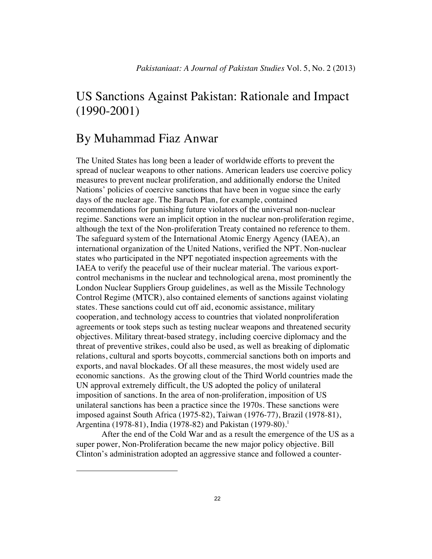## US Sanctions Against Pakistan: Rationale and Impact (1990-2001)

## By Muhammad Fiaz Anwar

1

The United States has long been a leader of worldwide efforts to prevent the spread of nuclear weapons to other nations. American leaders use coercive policy measures to prevent nuclear proliferation, and additionally endorse the United Nations' policies of coercive sanctions that have been in vogue since the early days of the nuclear age. The Baruch Plan, for example, contained recommendations for punishing future violators of the universal non-nuclear regime. Sanctions were an implicit option in the nuclear non-proliferation regime, although the text of the Non-proliferation Treaty contained no reference to them. The safeguard system of the International Atomic Energy Agency (IAEA), an international organization of the United Nations, verified the NPT. Non-nuclear states who participated in the NPT negotiated inspection agreements with the IAEA to verify the peaceful use of their nuclear material. The various exportcontrol mechanisms in the nuclear and technological arena, most prominently the London Nuclear Suppliers Group guidelines, as well as the Missile Technology Control Regime (MTCR), also contained elements of sanctions against violating states. These sanctions could cut off aid, economic assistance, military cooperation, and technology access to countries that violated nonproliferation agreements or took steps such as testing nuclear weapons and threatened security objectives. Military threat-based strategy, including coercive diplomacy and the threat of preventive strikes, could also be used, as well as breaking of diplomatic relations, cultural and sports boycotts, commercial sanctions both on imports and exports, and naval blockades. Of all these measures, the most widely used are economic sanctions. As the growing clout of the Third World countries made the UN approval extremely difficult, the US adopted the policy of unilateral imposition of sanctions. In the area of non-proliferation, imposition of US unilateral sanctions has been a practice since the 1970s. These sanctions were imposed against South Africa (1975-82), Taiwan (1976-77), Brazil (1978-81), Argentina (1978-81), India (1978-82) and Pakistan (1979-80).<sup>1</sup>

 After the end of the Cold War and as a result the emergence of the US as a super power, Non-Proliferation became the new major policy objective. Bill Clinton's administration adopted an aggressive stance and followed a counter-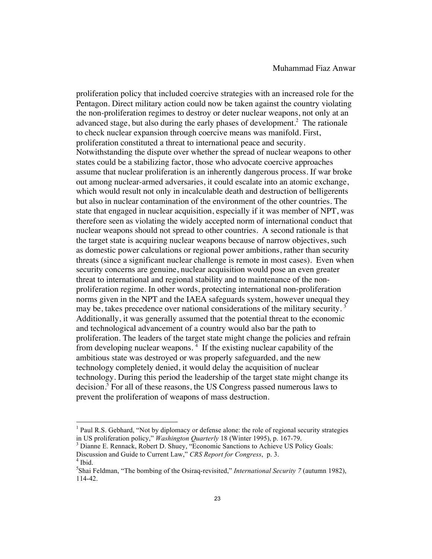proliferation policy that included coercive strategies with an increased role for the Pentagon. Direct military action could now be taken against the country violating the non-proliferation regimes to destroy or deter nuclear weapons, not only at an advanced stage, but also during the early phases of development.<sup>2</sup> The rationale to check nuclear expansion through coercive means was manifold. First, proliferation constituted a threat to international peace and security. Notwithstanding the dispute over whether the spread of nuclear weapons to other states could be a stabilizing factor, those who advocate coercive approaches assume that nuclear proliferation is an inherently dangerous process. If war broke out among nuclear-armed adversaries, it could escalate into an atomic exchange, which would result not only in incalculable death and destruction of belligerents but also in nuclear contamination of the environment of the other countries. The state that engaged in nuclear acquisition, especially if it was member of NPT, was therefore seen as violating the widely accepted norm of international conduct that nuclear weapons should not spread to other countries. A second rationale is that the target state is acquiring nuclear weapons because of narrow objectives, such as domestic power calculations or regional power ambitions, rather than security threats (since a significant nuclear challenge is remote in most cases). Even when security concerns are genuine, nuclear acquisition would pose an even greater threat to international and regional stability and to maintenance of the nonproliferation regime. In other words, protecting international non-proliferation norms given in the NPT and the IAEA safeguards system, however unequal they may be, takes precedence over national considerations of the military security.<sup>3</sup> Additionally, it was generally assumed that the potential threat to the economic and technological advancement of a country would also bar the path to proliferation. The leaders of the target state might change the policies and refrain from developing nuclear weapons.<sup>4</sup> If the existing nuclear capability of the ambitious state was destroyed or was properly safeguarded, and the new technology completely denied, it would delay the acquisition of nuclear technology. During this period the leadership of the target state might change its decision.<sup>5</sup> For all of these reasons, the US Congress passed numerous laws to prevent the proliferation of weapons of mass destruction.

<sup>&</sup>lt;sup>1</sup> Paul R.S. Gebhard, "Not by diplomacy or defense alone: the role of regional security strategies in US proliferation policy," *Washington Quarterly* 18 (Winter 1995), p. 167-79.<br><sup>3</sup> Dianne E. Rennack, Robert D. Shuey, "Economic Sanctions to Achieve US Policy Goals:

Discussion and Guide to Current Law," *CRS Report for Congress*, p. 3. <sup>4</sup> Ibid.

<sup>5</sup> Shai Feldman, "The bombing of the Osiraq-revisited," *International Security 7* (autumn 1982), 114-42.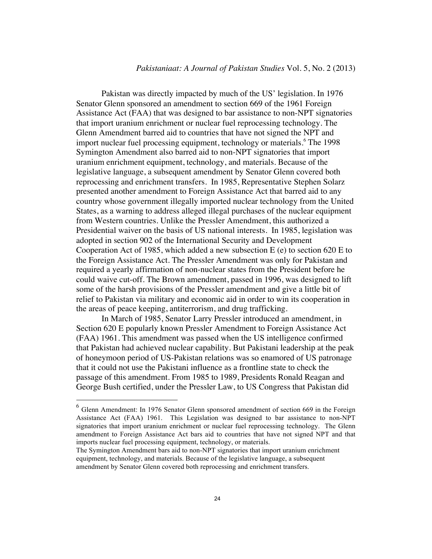Pakistan was directly impacted by much of the US' legislation. In 1976 Senator Glenn sponsored an amendment to section 669 of the 1961 Foreign Assistance Act (FAA) that was designed to bar assistance to non-NPT signatories that import uranium enrichment or nuclear fuel reprocessing technology. The Glenn Amendment barred aid to countries that have not signed the NPT and import nuclear fuel processing equipment, technology or materials.<sup>6</sup> The 1998 Symington Amendment also barred aid to non-NPT signatories that import uranium enrichment equipment, technology, and materials. Because of the legislative language, a subsequent amendment by Senator Glenn covered both reprocessing and enrichment transfers. In 1985, Representative Stephen Solarz presented another amendment to Foreign Assistance Act that barred aid to any country whose government illegally imported nuclear technology from the United States, as a warning to address alleged illegal purchases of the nuclear equipment from Western countries. Unlike the Pressler Amendment, this authorized a Presidential waiver on the basis of US national interests. In 1985, legislation was adopted in section 902 of the International Security and Development Cooperation Act of 1985, which added a new subsection  $E(e)$  to section 620 E to the Foreign Assistance Act. The Pressler Amendment was only for Pakistan and required a yearly affirmation of non-nuclear states from the President before he could waive cut-off. The Brown amendment, passed in 1996, was designed to lift some of the harsh provisions of the Pressler amendment and give a little bit of relief to Pakistan via military and economic aid in order to win its cooperation in the areas of peace keeping, antiterrorism, and drug trafficking.

In March of 1985, Senator Larry Pressler introduced an amendment, in Section 620 E popularly known Pressler Amendment to Foreign Assistance Act (FAA) 1961. This amendment was passed when the US intelligence confirmed that Pakistan had achieved nuclear capability. But Pakistani leadership at the peak of honeymoon period of US-Pakistan relations was so enamored of US patronage that it could not use the Pakistani influence as a frontline state to check the passage of this amendment. From 1985 to 1989, Presidents Ronald Reagan and George Bush certified, under the Pressler Law, to US Congress that Pakistan did

<sup>&</sup>lt;sup>6</sup> Glenn Amendment: In 1976 Senator Glenn sponsored amendment of section 669 in the Foreign Assistance Act (FAA) 1961. This Legislation was designed to bar assistance to non-NPT signatories that import uranium enrichment or nuclear fuel reprocessing technology. The Glenn amendment to Foreign Assistance Act bars aid to countries that have not signed NPT and that imports nuclear fuel processing equipment, technology, or materials.

The Symington Amendment bars aid to non-NPT signatories that import uranium enrichment equipment, technology, and materials. Because of the legislative language, a subsequent amendment by Senator Glenn covered both reprocessing and enrichment transfers.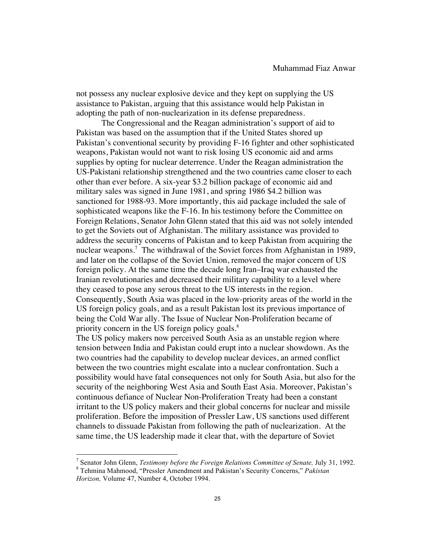not possess any nuclear explosive device and they kept on supplying the US assistance to Pakistan, arguing that this assistance would help Pakistan in adopting the path of non-nuclearization in its defense preparedness.

The Congressional and the Reagan administration's support of aid to Pakistan was based on the assumption that if the United States shored up Pakistan's conventional security by providing F-16 fighter and other sophisticated weapons, Pakistan would not want to risk losing US economic aid and arms supplies by opting for nuclear deterrence. Under the Reagan administration the US-Pakistani relationship strengthened and the two countries came closer to each other than ever before. A six-year \$3.2 billion package of economic aid and military sales was signed in June 1981, and spring 1986 \$4.2 billion was sanctioned for 1988-93. More importantly, this aid package included the sale of sophisticated weapons like the F-16. In his testimony before the Committee on Foreign Relations, Senator John Glenn stated that this aid was not solely intended to get the Soviets out of Afghanistan. The military assistance was provided to address the security concerns of Pakistan and to keep Pakistan from acquiring the nuclear weapons.<sup>7</sup> The withdrawal of the Soviet forces from Afghanistan in 1989, and later on the collapse of the Soviet Union, removed the major concern of US foreign policy. At the same time the decade long Iran–Iraq war exhausted the Iranian revolutionaries and decreased their military capability to a level where they ceased to pose any serous threat to the US interests in the region. Consequently, South Asia was placed in the low-priority areas of the world in the US foreign policy goals, and as a result Pakistan lost its previous importance of being the Cold War ally. The Issue of Nuclear Non-Proliferation became of priority concern in the US foreign policy goals.<sup>8</sup>

The US policy makers now perceived South Asia as an unstable region where tension between India and Pakistan could erupt into a nuclear showdown. As the two countries had the capability to develop nuclear devices, an armed conflict between the two countries might escalate into a nuclear confrontation. Such a possibility would have fatal consequences not only for South Asia, but also for the security of the neighboring West Asia and South East Asia. Moreover, Pakistan's continuous defiance of Nuclear Non-Proliferation Treaty had been a constant irritant to the US policy makers and their global concerns for nuclear and missile proliferation. Before the imposition of Pressler Law, US sanctions used different channels to dissuade Pakistan from following the path of nuclearization. At the same time, the US leadership made it clear that, with the departure of Soviet

<sup>&</sup>lt;sup>7</sup> Senator John Glenn, *Testimony before the Foreign Relations Committee of Senate*, July 31, 1992.<br><sup>8</sup> Tehmina Mahmood, "Pressler Amendment and Pakistan's Security Concerns," *Pakistan Horizon,* Volume 47, Number 4, October 1994.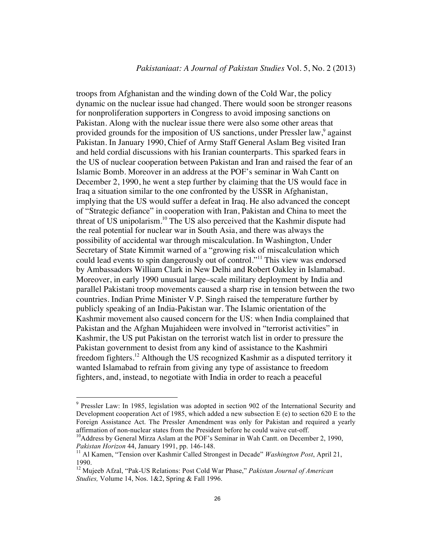troops from Afghanistan and the winding down of the Cold War, the policy dynamic on the nuclear issue had changed. There would soon be stronger reasons for nonproliferation supporters in Congress to avoid imposing sanctions on Pakistan. Along with the nuclear issue there were also some other areas that provided grounds for the imposition of US sanctions, under Pressler law,<sup>9</sup> against Pakistan. In January 1990, Chief of Army Staff General Aslam Beg visited Iran and held cordial discussions with his Iranian counterparts. This sparked fears in the US of nuclear cooperation between Pakistan and Iran and raised the fear of an Islamic Bomb. Moreover in an address at the POF's seminar in Wah Cantt on December 2, 1990, he went a step further by claiming that the US would face in Iraq a situation similar to the one confronted by the USSR in Afghanistan, implying that the US would suffer a defeat in Iraq. He also advanced the concept of "Strategic defiance" in cooperation with Iran, Pakistan and China to meet the threat of US unipolarism.<sup>10</sup> The US also perceived that the Kashmir dispute had the real potential for nuclear war in South Asia, and there was always the possibility of accidental war through miscalculation. In Washington, Under Secretary of State Kimmit warned of a "growing risk of miscalculation which could lead events to spin dangerously out of control."11 This view was endorsed by Ambassadors William Clark in New Delhi and Robert Oakley in Islamabad. Moreover, in early 1990 unusual large–scale military deployment by India and parallel Pakistani troop movements caused a sharp rise in tension between the two countries. Indian Prime Minister V.P. Singh raised the temperature further by publicly speaking of an India-Pakistan war. The Islamic orientation of the Kashmir movement also caused concern for the US: when India complained that Pakistan and the Afghan Mujahideen were involved in "terrorist activities" in Kashmir, the US put Pakistan on the terrorist watch list in order to pressure the Pakistan government to desist from any kind of assistance to the Kashmiri freedom fighters.12 Although the US recognized Kashmir as a disputed territory it wanted Islamabad to refrain from giving any type of assistance to freedom fighters, and, instead, to negotiate with India in order to reach a peaceful

<sup>&</sup>lt;sup>9</sup> Pressler Law: In 1985, legislation was adopted in section 902 of the International Security and Development cooperation Act of 1985, which added a new subsection E (e) to section 620 E to the Foreign Assistance Act. The Pressler Amendment was only for Pakistan and required a yearly affirmation of non-nuclear states from the President before he could waive cut-off.<br><sup>10</sup>Address by General Mirza Aslam at the POF's Seminar in Wah Cantt. on December 2, 1990,

*Pakistan Horizon* 44, January 1991, pp. 146-148.<br><sup>11</sup> Al Kamen, "Tension over Kashmir Called Strongest in Decade" *Washington Post*, April 21,

<sup>1990.</sup>

<sup>12</sup> Mujeeb Afzal, "Pak-US Relations: Post Cold War Phase," *Pakistan Journal of American Studies,* Volume 14, Nos. 1&2, Spring & Fall 1996.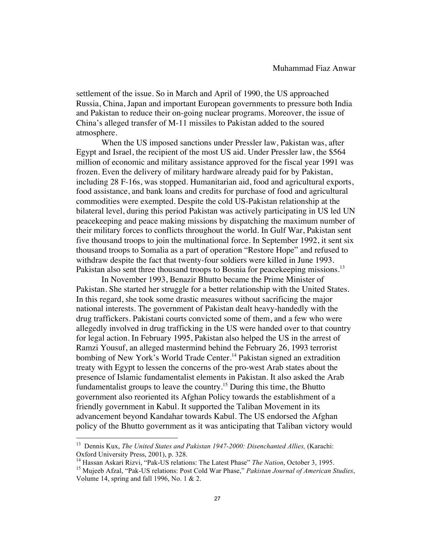settlement of the issue. So in March and April of 1990, the US approached Russia, China, Japan and important European governments to pressure both India and Pakistan to reduce their on-going nuclear programs. Moreover, the issue of China's alleged transfer of M-11 missiles to Pakistan added to the soured atmosphere.

When the US imposed sanctions under Pressler law, Pakistan was, after Egypt and Israel, the recipient of the most US aid. Under Pressler law, the \$564 million of economic and military assistance approved for the fiscal year 1991 was frozen. Even the delivery of military hardware already paid for by Pakistan, including 28 F-16s, was stopped. Humanitarian aid, food and agricultural exports, food assistance, and bank loans and credits for purchase of food and agricultural commodities were exempted. Despite the cold US-Pakistan relationship at the bilateral level, during this period Pakistan was actively participating in US led UN peacekeeping and peace making missions by dispatching the maximum number of their military forces to conflicts throughout the world. In Gulf War, Pakistan sent five thousand troops to join the multinational force. In September 1992, it sent six thousand troops to Somalia as a part of operation "Restore Hope" and refused to withdraw despite the fact that twenty-four soldiers were killed in June 1993. Pakistan also sent three thousand troops to Bosnia for peacekeeping missions.<sup>13</sup>

In November 1993, Benazir Bhutto became the Prime Minister of Pakistan. She started her struggle for a better relationship with the United States. In this regard, she took some drastic measures without sacrificing the major national interests. The government of Pakistan dealt heavy-handedly with the drug traffickers. Pakistani courts convicted some of them, and a few who were allegedly involved in drug trafficking in the US were handed over to that country for legal action. In February 1995, Pakistan also helped the US in the arrest of Ramzi Yousuf, an alleged mastermind behind the February 26, 1993 terrorist bombing of New York's World Trade Center.<sup>14</sup> Pakistan signed an extradition treaty with Egypt to lessen the concerns of the pro-west Arab states about the presence of Islamic fundamentalist elements in Pakistan. It also asked the Arab fundamentalist groups to leave the country.<sup>15</sup> During this time, the Bhutto government also reoriented its Afghan Policy towards the establishment of a friendly government in Kabul. It supported the Taliban Movement in its advancement beyond Kandahar towards Kabul. The US endorsed the Afghan policy of the Bhutto government as it was anticipating that Taliban victory would

<sup>13</sup> Dennis Kux, *The United States and Pakistan 1947-2000: Disenchanted Allies,* (Karachi: Oxford University Press, 2001), p. 328.

<sup>&</sup>lt;sup>14</sup> Hassan Askari Rizvi, "Pak-US relations: The Latest Phase" *The Nation*, October 3, 1995.<br><sup>15</sup> Mujeeb Afzal, "Pak-US relations: Post Cold War Phase," *Pakistan Journal of American Studies*,

Volume 14, spring and fall 1996, No. 1 & 2.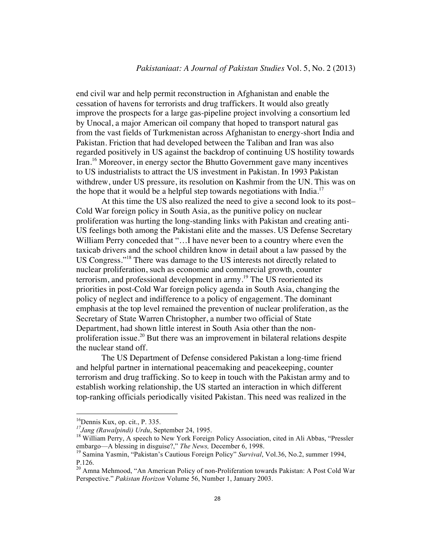end civil war and help permit reconstruction in Afghanistan and enable the cessation of havens for terrorists and drug traffickers. It would also greatly improve the prospects for a large gas-pipeline project involving a consortium led by Unocal, a major American oil company that hoped to transport natural gas from the vast fields of Turkmenistan across Afghanistan to energy-short India and Pakistan. Friction that had developed between the Taliban and Iran was also regarded positively in US against the backdrop of continuing US hostility towards Iran.<sup>16</sup> Moreover, in energy sector the Bhutto Government gave many incentives to US industrialists to attract the US investment in Pakistan. In 1993 Pakistan withdrew, under US pressure, its resolution on Kashmir from the UN. This was on the hope that it would be a helpful step towards negotiations with India.<sup>17</sup>

At this time the US also realized the need to give a second look to its post– Cold War foreign policy in South Asia, as the punitive policy on nuclear proliferation was hurting the long-standing links with Pakistan and creating anti-US feelings both among the Pakistani elite and the masses. US Defense Secretary William Perry conceded that "...I have never been to a country where even the taxicab drivers and the school children know in detail about a law passed by the US Congress."18 There was damage to the US interests not directly related to nuclear proliferation, such as economic and commercial growth, counter terrorism, and professional development in army.19 The US reoriented its priorities in post-Cold War foreign policy agenda in South Asia, changing the policy of neglect and indifference to a policy of engagement. The dominant emphasis at the top level remained the prevention of nuclear proliferation, as the Secretary of State Warren Christopher, a number two official of State Department, had shown little interest in South Asia other than the nonproliferation issue.<sup>20</sup> But there was an improvement in bilateral relations despite the nuclear stand off.

The US Department of Defense considered Pakistan a long-time friend and helpful partner in international peacemaking and peacekeeping, counter terrorism and drug trafficking. So to keep in touch with the Pakistan army and to establish working relationship, the US started an interaction in which different top-ranking officials periodically visited Pakistan. This need was realized in the

<sup>&</sup>lt;sup>16</sup>Dennis Kux, op. cit., P. 335.<br><sup>17</sup>Jang (Rawalpindi) Urdu, September 24, 1995.<br><sup>18</sup> William Perry, A speech to New York Foreign Policy Association, cited in Ali Abbas, "Pressler embargo—A blessing in disguise?," *The News*, December 6, 1998.<br><sup>19</sup> Samina Yasmin, "Pakistan's Cautious Foreign Policy" *Survival*, Vol.36, No.2, summer 1994,

P.126.

<sup>&</sup>lt;sup>20</sup> Amna Mehmood, "An American Policy of non-Proliferation towards Pakistan: A Post Cold War Perspective." *Pakistan Horizon* Volume 56, Number 1, January 2003.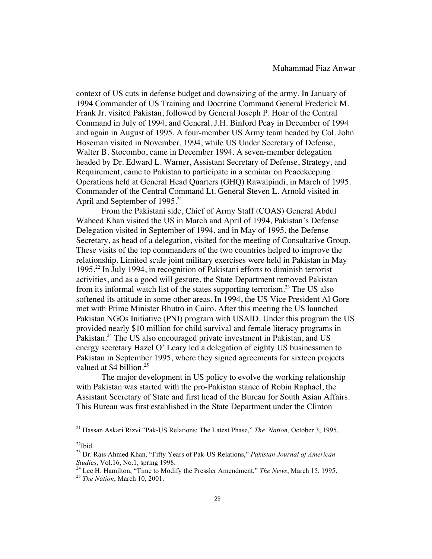context of US cuts in defense budget and downsizing of the army. In January of 1994 Commander of US Training and Doctrine Command General Frederick M. Frank Jr. visited Pakistan, followed by General Joseph P. Hoar of the Central Command in July of 1994, and General. J.H. Binford Peay in December of 1994 and again in August of 1995. A four-member US Army team headed by Col. John Hoseman visited in November, 1994, while US Under Secretary of Defense, Walter B. Stocombo, came in December 1994. A seven-member delegation headed by Dr. Edward L. Warner, Assistant Secretary of Defense, Strategy, and Requirement, came to Pakistan to participate in a seminar on Peacekeeping Operations held at General Head Quarters (GHQ) Rawalpindi, in March of 1995. Commander of the Central Command Lt. General Steven L. Arnold visited in April and September of 1995.<sup>21</sup>

From the Pakistani side, Chief of Army Staff (COAS) General Abdul Waheed Khan visited the US in March and April of 1994, Pakistan's Defense Delegation visited in September of 1994, and in May of 1995, the Defense Secretary, as head of a delegation, visited for the meeting of Consultative Group. These visits of the top commanders of the two countries helped to improve the relationship. Limited scale joint military exercises were held in Pakistan in May 1995.22 In July 1994, in recognition of Pakistani efforts to diminish terrorist activities, and as a good will gesture, the State Department removed Pakistan from its informal watch list of the states supporting terrorism.<sup>23</sup> The US also softened its attitude in some other areas. In 1994, the US Vice President Al Gore met with Prime Minister Bhutto in Cairo. After this meeting the US launched Pakistan NGOs Initiative (PNI) program with USAID. Under this program the US provided nearly \$10 million for child survival and female literacy programs in Pakistan.<sup>24</sup> The US also encouraged private investment in Pakistan, and US energy secretary Hazel O' Leary led a delegation of eighty US businessmen to Pakistan in September 1995, where they signed agreements for sixteen projects valued at  $$4$  billion.<sup>25</sup>

The major development in US policy to evolve the working relationship with Pakistan was started with the pro-Pakistan stance of Robin Raphael, the Assistant Secretary of State and first head of the Bureau for South Asian Affairs. This Bureau was first established in the State Department under the Clinton

 $^{22}$ Ibid.

<sup>21</sup> Hassan Askari Rizvi "Pak-US Relations: The Latest Phase," *The Nation,* October 3, 1995.

<sup>&</sup>lt;sup>23</sup> Dr. Rais Ahmed Khan, "Fifty Years of Pak-US Relations," *Pakistan Journal of American Studies*, Vol.16, No.1, spring 1998.

<sup>&</sup>lt;sup>24</sup> Lee H. Hamilton, "Time to Modify the Pressler Amendment," *The News*, March 15, 1995. <sup>25</sup> *The Nation*. March 10, 2001.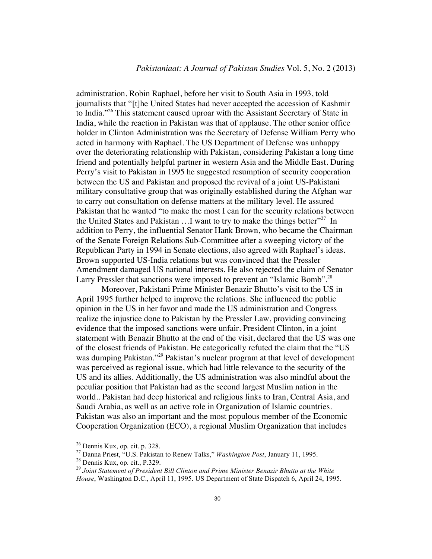administration. Robin Raphael, before her visit to South Asia in 1993, told journalists that "[t]he United States had never accepted the accession of Kashmir to India."26 This statement caused uproar with the Assistant Secretary of State in India, while the reaction in Pakistan was that of applause. The other senior office holder in Clinton Administration was the Secretary of Defense William Perry who acted in harmony with Raphael. The US Department of Defense was unhappy over the deteriorating relationship with Pakistan, considering Pakistan a long time friend and potentially helpful partner in western Asia and the Middle East. During Perry's visit to Pakistan in 1995 he suggested resumption of security cooperation between the US and Pakistan and proposed the revival of a joint US-Pakistani military consultative group that was originally established during the Afghan war to carry out consultation on defense matters at the military level. He assured Pakistan that he wanted "to make the most I can for the security relations between the United States and Pakistan  $\dots$  want to try to make the things better<sup> $27$ </sup> In addition to Perry, the influential Senator Hank Brown, who became the Chairman of the Senate Foreign Relations Sub-Committee after a sweeping victory of the Republican Party in 1994 in Senate elections, also agreed with Raphael's ideas. Brown supported US-India relations but was convinced that the Pressler Amendment damaged US national interests. He also rejected the claim of Senator Larry Pressler that sanctions were imposed to prevent an "Islamic Bomb".<sup>28</sup>

Moreover, Pakistani Prime Minister Benazir Bhutto's visit to the US in April 1995 further helped to improve the relations. She influenced the public opinion in the US in her favor and made the US administration and Congress realize the injustice done to Pakistan by the Pressler Law, providing convincing evidence that the imposed sanctions were unfair. President Clinton, in a joint statement with Benazir Bhutto at the end of the visit, declared that the US was one of the closest friends of Pakistan. He categorically refuted the claim that the "US was dumping Pakistan."<sup>29</sup> Pakistan's nuclear program at that level of development was perceived as regional issue, which had little relevance to the security of the US and its allies. Additionally, the US administration was also mindful about the peculiar position that Pakistan had as the second largest Muslim nation in the world.. Pakistan had deep historical and religious links to Iran, Central Asia, and Saudi Arabia, as well as an active role in Organization of Islamic countries. Pakistan was also an important and the most populous member of the Economic Cooperation Organization (ECO), a regional Muslim Organization that includes

<sup>&</sup>lt;sup>26</sup> Dennis Kux, op. cit. p. 328.<br><sup>27</sup> Danna Priest, "U.S. Pakistan to Renew Talks," *Washington Post*, January 11, 1995.<br><sup>28</sup> Dennis Kux, op. cit., P.329.<br><sup>29</sup> Joint Statement of President Bill Clinton and Prime Minister

*House*, Washington D.C., April 11, 1995. US Department of State Dispatch 6, April 24, 1995.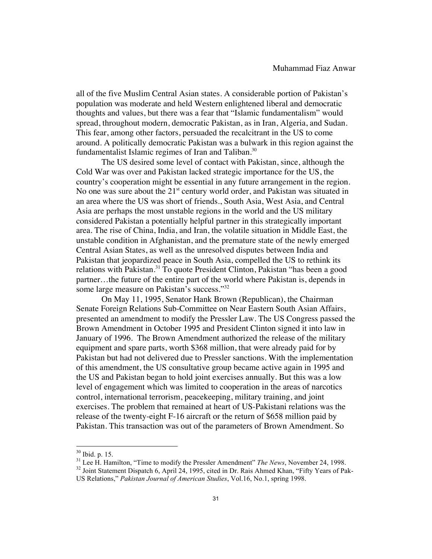all of the five Muslim Central Asian states. A considerable portion of Pakistan's population was moderate and held Western enlightened liberal and democratic thoughts and values, but there was a fear that "Islamic fundamentalism" would spread, throughout modern, democratic Pakistan, as in Iran, Algeria, and Sudan. This fear, among other factors, persuaded the recalcitrant in the US to come around. A politically democratic Pakistan was a bulwark in this region against the fundamentalist Islamic regimes of Iran and Taliban.<sup>30</sup>

The US desired some level of contact with Pakistan, since, although the Cold War was over and Pakistan lacked strategic importance for the US, the country's cooperation might be essential in any future arrangement in the region. No one was sure about the  $21<sup>st</sup>$  century world order, and Pakistan was situated in an area where the US was short of friends., South Asia, West Asia, and Central Asia are perhaps the most unstable regions in the world and the US military considered Pakistan a potentially helpful partner in this strategically important area. The rise of China, India, and Iran, the volatile situation in Middle East, the unstable condition in Afghanistan, and the premature state of the newly emerged Central Asian States, as well as the unresolved disputes between India and Pakistan that jeopardized peace in South Asia, compelled the US to rethink its relations with Pakistan.<sup>31</sup> To quote President Clinton, Pakistan "has been a good partner…the future of the entire part of the world where Pakistan is, depends in some large measure on Pakistan's success."<sup>32</sup>

On May 11, 1995, Senator Hank Brown (Republican), the Chairman Senate Foreign Relations Sub-Committee on Near Eastern South Asian Affairs, presented an amendment to modify the Pressler Law. The US Congress passed the Brown Amendment in October 1995 and President Clinton signed it into law in January of 1996. The Brown Amendment authorized the release of the military equipment and spare parts, worth \$368 million, that were already paid for by Pakistan but had not delivered due to Pressler sanctions. With the implementation of this amendment, the US consultative group became active again in 1995 and the US and Pakistan began to hold joint exercises annually. But this was a low level of engagement which was limited to cooperation in the areas of narcotics control, international terrorism, peacekeeping, military training, and joint exercises. The problem that remained at heart of US-Pakistani relations was the release of the twenty-eight F-16 aircraft or the return of \$658 million paid by Pakistan. This transaction was out of the parameters of Brown Amendment. So

<sup>&</sup>lt;sup>30</sup> Ibid. p. 15.

<sup>&</sup>lt;sup>31</sup> Lee H. Hamilton, "Time to modify the Pressler Amendment" *The News*, November 24, 1998.<br><sup>32</sup> Joint Statement Dispatch 6, April 24, 1995, cited in Dr. Rais Ahmed Khan, "Fifty Years of Pak-

US Relations," *Pakistan Journal of American Studies*, Vol.16, No.1, spring 1998.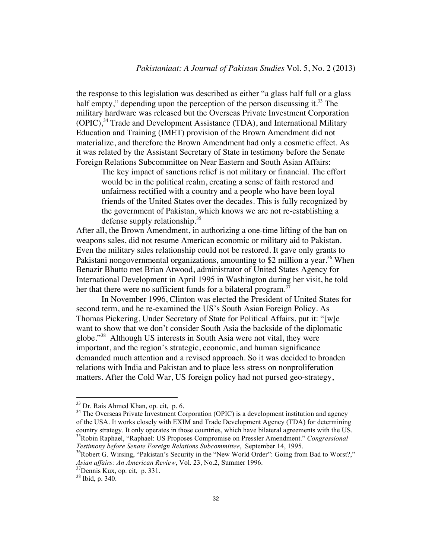the response to this legislation was described as either "a glass half full or a glass half empty," depending upon the perception of the person discussing it.<sup>33</sup> The military hardware was released but the Overseas Private Investment Corporation (OPIC),<sup>34</sup> Trade and Development Assistance (TDA), and International Military Education and Training (IMET) provision of the Brown Amendment did not materialize, and therefore the Brown Amendment had only a cosmetic effect. As it was related by the Assistant Secretary of State in testimony before the Senate Foreign Relations Subcommittee on Near Eastern and South Asian Affairs:

The key impact of sanctions relief is not military or financial. The effort would be in the political realm, creating a sense of faith restored and unfairness rectified with a country and a people who have been loyal friends of the United States over the decades. This is fully recognized by the government of Pakistan, which knows we are not re-establishing a defense supply relationship.<sup>35</sup>

After all, the Brown Amendment, in authorizing a one-time lifting of the ban on weapons sales, did not resume American economic or military aid to Pakistan. Even the military sales relationship could not be restored. It gave only grants to Pakistani nongovernmental organizations, amounting to \$2 million a year.<sup>36</sup> When Benazir Bhutto met Brian Atwood, administrator of United States Agency for International Development in April 1995 in Washington during her visit, he told her that there were no sufficient funds for a bilateral program. $37$ 

In November 1996, Clinton was elected the President of United States for second term, and he re-examined the US's South Asian Foreign Policy. As Thomas Pickering, Under Secretary of State for Political Affairs, put it: "[w]e want to show that we don't consider South Asia the backside of the diplomatic globe."38 Although US interests in South Asia were not vital, they were important, and the region's strategic, economic, and human significance demanded much attention and a revised approach. So it was decided to broaden relations with India and Pakistan and to place less stress on nonproliferation matters. After the Cold War, US foreign policy had not pursed geo-strategy,

<sup>&</sup>lt;sup>33</sup> Dr. Rais Ahmed Khan, op. cit, p. 6.

<sup>&</sup>lt;sup>34</sup> The Overseas Private Investment Corporation (OPIC) is a development institution and agency of the USA. It works closely with EXIM and Trade Development Agency (TDA) for determining country strategy. It only operates in those countries, which have bilateral agreements with the US. 35Robin Raphael, "Raphael: US Proposes Compromise on Pressler Amendment." *Congressional Testimony before Senate Foreign Relations Subcommittee*, September 14, 1995.<br><sup>36</sup>Robert G. Wirsing, "Pakistan's Security in the "New World Order": Going from Bad to Worst?,"

*Asian affairs: An American Review*, Vol. 23, No.2, Summer 1996. 37Dennis Kux, op. cit, p. 331.

<sup>38</sup> Ibid, p. 340.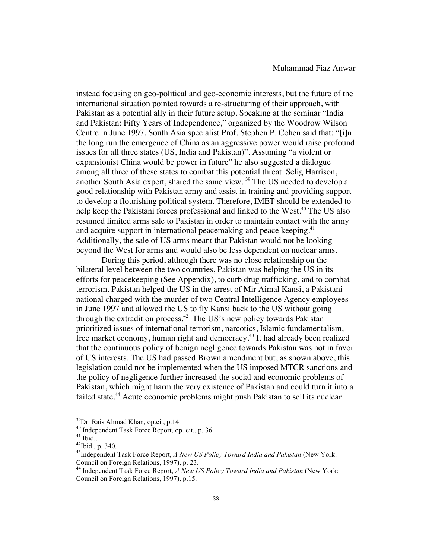instead focusing on geo-political and geo-economic interests, but the future of the international situation pointed towards a re-structuring of their approach, with Pakistan as a potential ally in their future setup. Speaking at the seminar "India and Pakistan: Fifty Years of Independence," organized by the Woodrow Wilson Centre in June 1997, South Asia specialist Prof. Stephen P. Cohen said that: "[i]n the long run the emergence of China as an aggressive power would raise profound issues for all three states (US, India and Pakistan)". Assuming "a violent or expansionist China would be power in future" he also suggested a dialogue among all three of these states to combat this potential threat. Selig Harrison, another South Asia expert, shared the same view. <sup>39</sup> The US needed to develop a good relationship with Pakistan army and assist in training and providing support to develop a flourishing political system. Therefore, IMET should be extended to help keep the Pakistani forces professional and linked to the West.<sup>40</sup> The US also resumed limited arms sale to Pakistan in order to maintain contact with the army and acquire support in international peacemaking and peace keeping.<sup>41</sup> Additionally, the sale of US arms meant that Pakistan would not be looking beyond the West for arms and would also be less dependent on nuclear arms.

During this period, although there was no close relationship on the bilateral level between the two countries, Pakistan was helping the US in its efforts for peacekeeping (See Appendix), to curb drug trafficking, and to combat terrorism. Pakistan helped the US in the arrest of Mir Aimal Kansi, a Pakistani national charged with the murder of two Central Intelligence Agency employees in June 1997 and allowed the US to fly Kansi back to the US without going through the extradition process.<sup>42</sup> The US's new policy towards Pakistan prioritized issues of international terrorism, narcotics, Islamic fundamentalism, free market economy, human right and democracy.43 It had already been realized that the continuous policy of benign negligence towards Pakistan was not in favor of US interests. The US had passed Brown amendment but, as shown above, this legislation could not be implemented when the US imposed MTCR sanctions and the policy of negligence further increased the social and economic problems of Pakistan, which might harm the very existence of Pakistan and could turn it into a failed state.<sup>44</sup> Acute economic problems might push Pakistan to sell its nuclear

<sup>&</sup>lt;sup>39</sup>Dr. Rais Ahmad Khan, op.cit, p.14.

<sup>&</sup>lt;sup>40</sup> Independent Task Force Report, op. cit., p. 36.  $41$  Ibid.. p. 340.

<sup>43</sup>Independent Task Force Report, *A New US Policy Toward India and Pakistan* (New York: Council on Foreign Relations, 1997), p. 23.

<sup>44</sup> Independent Task Force Report, *A New US Policy Toward India and Pakistan* (New York: Council on Foreign Relations, 1997), p.15.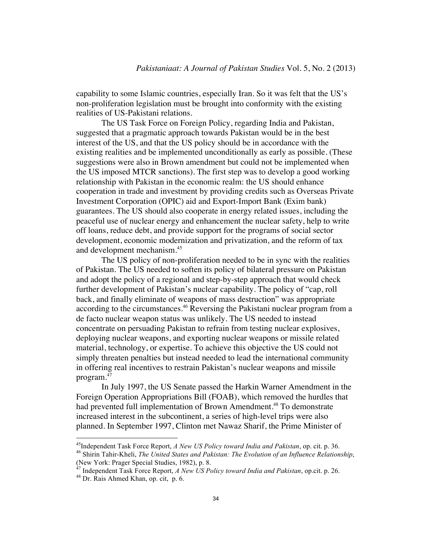capability to some Islamic countries, especially Iran. So it was felt that the US's non-proliferation legislation must be brought into conformity with the existing realities of US-Pakistani relations.

The US Task Force on Foreign Policy, regarding India and Pakistan, suggested that a pragmatic approach towards Pakistan would be in the best interest of the US, and that the US policy should be in accordance with the existing realities and be implemented unconditionally as early as possible. (These suggestions were also in Brown amendment but could not be implemented when the US imposed MTCR sanctions). The first step was to develop a good working relationship with Pakistan in the economic realm: the US should enhance cooperation in trade and investment by providing credits such as Overseas Private Investment Corporation (OPIC) aid and Export-Import Bank (Exim bank) guarantees. The US should also cooperate in energy related issues, including the peaceful use of nuclear energy and enhancement the nuclear safety, help to write off loans, reduce debt, and provide support for the programs of social sector development, economic modernization and privatization, and the reform of tax and development mechanism.<sup>45</sup>

The US policy of non-proliferation needed to be in sync with the realities of Pakistan. The US needed to soften its policy of bilateral pressure on Pakistan and adopt the policy of a regional and step-by-step approach that would check further development of Pakistan's nuclear capability. The policy of "cap, roll back, and finally eliminate of weapons of mass destruction" was appropriate according to the circumstances.<sup>46</sup> Reversing the Pakistani nuclear program from a de facto nuclear weapon status was unlikely. The US needed to instead concentrate on persuading Pakistan to refrain from testing nuclear explosives, deploying nuclear weapons, and exporting nuclear weapons or missile related material, technology, or expertise. To achieve this objective the US could not simply threaten penalties but instead needed to lead the international community in offering real incentives to restrain Pakistan's nuclear weapons and missile program.<sup>47</sup>

In July 1997, the US Senate passed the Harkin Warner Amendment in the Foreign Operation Appropriations Bill (FOAB), which removed the hurdles that had prevented full implementation of Brown Amendment.<sup>48</sup> To demonstrate increased interest in the subcontinent, a series of high-level trips were also planned. In September 1997, Clinton met Nawaz Sharif, the Prime Minister of

<sup>&</sup>lt;sup>45</sup>Independent Task Force Report, *A New US Policy toward India and Pakistan*, op. cit. p. 36.<br><sup>46</sup> Shirin Tahir-Kheli, *The United States and Pakistan: The Evolution of an Influence Relationship*,

<sup>(</sup>New York: Prager Special Studies, 1982), p. 8.

<sup>&</sup>lt;sup>47</sup> Independent Task Force Report, *A New US Policy toward India and Pakistan*, op.cit. p. 26. <sup>48</sup> Dr. Rais Ahmed Khan, op. cit, p. 6.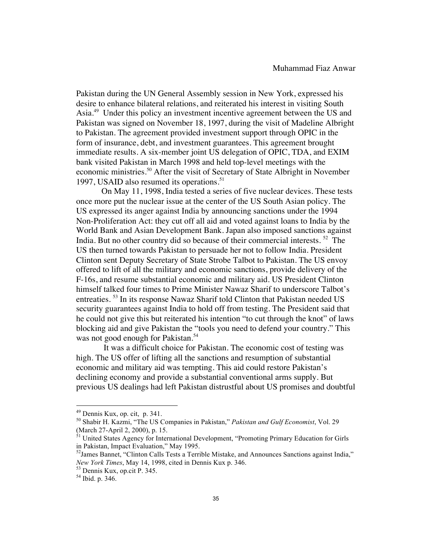Pakistan during the UN General Assembly session in New York, expressed his desire to enhance bilateral relations, and reiterated his interest in visiting South Asia.<sup>49</sup> Under this policy an investment incentive agreement between the US and Pakistan was signed on November 18, 1997, during the visit of Madeline Albright to Pakistan. The agreement provided investment support through OPIC in the form of insurance, debt, and investment guarantees. This agreement brought immediate results. A six-member joint US delegation of OPIC, TDA, and EXIM bank visited Pakistan in March 1998 and held top-level meetings with the economic ministries.<sup>50</sup> After the visit of Secretary of State Albright in November 1997, USAID also resumed its operations.<sup>51</sup>

On May 11, 1998, India tested a series of five nuclear devices. These tests once more put the nuclear issue at the center of the US South Asian policy. The US expressed its anger against India by announcing sanctions under the 1994 Non-Proliferation Act: they cut off all aid and voted against loans to India by the World Bank and Asian Development Bank. Japan also imposed sanctions against India. But no other country did so because of their commercial interests. 52 The US then turned towards Pakistan to persuade her not to follow India. President Clinton sent Deputy Secretary of State Strobe Talbot to Pakistan. The US envoy offered to lift of all the military and economic sanctions, provide delivery of the F-16s, and resume substantial economic and military aid. US President Clinton himself talked four times to Prime Minister Nawaz Sharif to underscore Talbot's entreaties. 53 In its response Nawaz Sharif told Clinton that Pakistan needed US security guarantees against India to hold off from testing. The President said that he could not give this but reiterated his intention "to cut through the knot" of laws blocking aid and give Pakistan the "tools you need to defend your country." This was not good enough for Pakistan.<sup>54</sup>

 It was a difficult choice for Pakistan. The economic cost of testing was high. The US offer of lifting all the sanctions and resumption of substantial economic and military aid was tempting. This aid could restore Pakistan's declining economy and provide a substantial conventional arms supply. But previous US dealings had left Pakistan distrustful about US promises and doubtful

 $49$  Dennis Kux, op. cit, p. 341.

<sup>&</sup>lt;sup>50</sup> Shabir H. Kazmi, "The US Companies in Pakistan," *Pakistan and Gulf Economist*, Vol. 29 (March 27-April 2, 2000), p. 15. <sup>51</sup> United States Agency for International Development, "Promoting Primary Education for Girls

in Pakistan, Impact Evaluation," May 1995.

<sup>52</sup>James Bannet, "Clinton Calls Tests a Terrible Mistake, and Announces Sanctions against India," *New York Times*, May 14, 1998, cited in Dennis Kux p. 346.<br><sup>53</sup> Dennis Kux, op.cit P. 345.<br><sup>54</sup> Ibid. p. 346.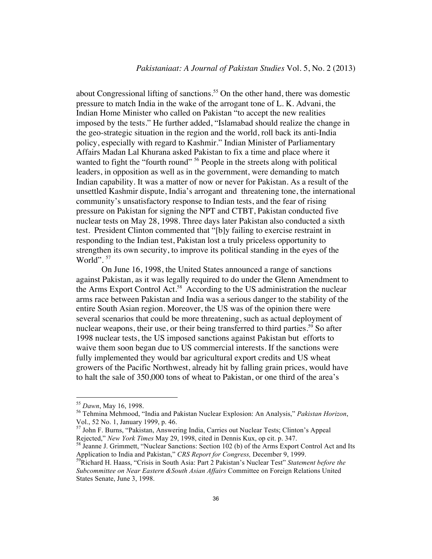about Congressional lifting of sanctions.<sup>55</sup> On the other hand, there was domestic pressure to match India in the wake of the arrogant tone of L. K. Advani, the Indian Home Minister who called on Pakistan "to accept the new realities imposed by the tests." He further added, "Islamabad should realize the change in the geo-strategic situation in the region and the world, roll back its anti-India policy, especially with regard to Kashmir." Indian Minister of Parliamentary Affairs Madan Lal Khurana asked Pakistan to fix a time and place where it wanted to fight the "fourth round" <sup>56</sup> People in the streets along with political leaders, in opposition as well as in the government, were demanding to match Indian capability. It was a matter of now or never for Pakistan. As a result of the unsettled Kashmir dispute, India's arrogant and threatening tone, the international community's unsatisfactory response to Indian tests, and the fear of rising pressure on Pakistan for signing the NPT and CTBT, Pakistan conducted five nuclear tests on May 28, 1998. Three days later Pakistan also conducted a sixth test. President Clinton commented that "[b]y failing to exercise restraint in responding to the Indian test, Pakistan lost a truly priceless opportunity to strengthen its own security, to improve its political standing in the eyes of the World".<sup>57</sup>

On June 16, 1998, the United States announced a range of sanctions against Pakistan, as it was legally required to do under the Glenn Amendment to the Arms Export Control Act.58 According to the US administration the nuclear arms race between Pakistan and India was a serious danger to the stability of the entire South Asian region. Moreover, the US was of the opinion there were several scenarios that could be more threatening, such as actual deployment of nuclear weapons, their use, or their being transferred to third parties.<sup>59</sup> So after 1998 nuclear tests, the US imposed sanctions against Pakistan but efforts to waive them soon began due to US commercial interests. If the sanctions were fully implemented they would bar agricultural export credits and US wheat growers of the Pacific Northwest, already hit by falling grain prices, would have to halt the sale of 350,000 tons of wheat to Pakistan, or one third of the area's

<sup>&</sup>lt;sup>55</sup> Dawn, May 16, 1998.

<sup>&</sup>lt;sup>56</sup> Tehmina Mehmood, "India and Pakistan Nuclear Explosion: An Analysis," Pakistan Horizon, Vol., 52 No. 1, January 1999, p. 46.

 $57$  John F. Burns, "Pakistan, Answering India, Carries out Nuclear Tests; Clinton's Appeal Rejected," New York Times May 29, 1998, cited in Dennis Kux, op cit. p. 347.

<sup>&</sup>lt;sup>58</sup> Jeanne J. Grimmett, "Nuclear Sanctions: Section 102 (b) of the Arms Export Control Act and Its Application to India and Pakistan," *CRS Report for Congress*, December 9, 1999.

<sup>&</sup>lt;sup>59</sup>Richard H. Haass, "Crisis in South Asia: Part 2 Pakistan's Nuclear Test" *Statement before the Subcommittee on Near Eastern &South Asian Affairs* Committee on Foreign Relations United States Senate, June 3, 1998.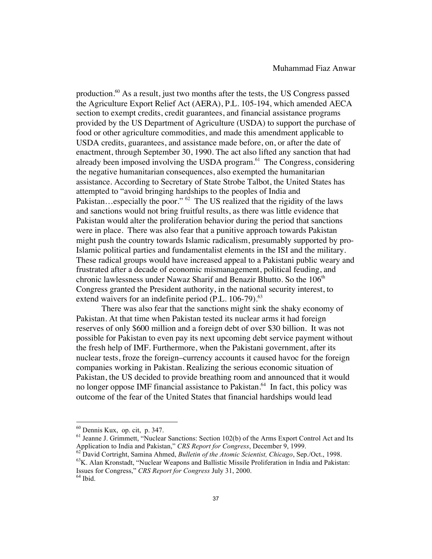production.60 As a result, just two months after the tests, the US Congress passed the Agriculture Export Relief Act (AERA), P.L. 105-194, which amended AECA section to exempt credits, credit guarantees, and financial assistance programs provided by the US Department of Agriculture (USDA) to support the purchase of food or other agriculture commodities, and made this amendment applicable to USDA credits, guarantees, and assistance made before, on, or after the date of enactment, through September 30, 1990. The act also lifted any sanction that had already been imposed involving the USDA program. $61$  The Congress, considering the negative humanitarian consequences, also exempted the humanitarian assistance. According to Secretary of State Strobe Talbot, the United States has attempted to "avoid bringing hardships to the peoples of India and Pakistan...especially the poor."  $62$  The US realized that the rigidity of the laws and sanctions would not bring fruitful results, as there was little evidence that Pakistan would alter the proliferation behavior during the period that sanctions were in place. There was also fear that a punitive approach towards Pakistan might push the country towards Islamic radicalism, presumably supported by pro-Islamic political parties and fundamentalist elements in the ISI and the military. These radical groups would have increased appeal to a Pakistani public weary and frustrated after a decade of economic mismanagement, political feuding, and chronic lawlessness under Nawaz Sharif and Benazir Bhutto. So the 106<sup>th</sup> Congress granted the President authority, in the national security interest, to extend waivers for an indefinite period  $(P.L. 106-79).<sup>63</sup>$ 

There was also fear that the sanctions might sink the shaky economy of Pakistan. At that time when Pakistan tested its nuclear arms it had foreign reserves of only \$600 million and a foreign debt of over \$30 billion. It was not possible for Pakistan to even pay its next upcoming debt service payment without the fresh help of IMF. Furthermore, when the Pakistani government, after its nuclear tests, froze the foreign–currency accounts it caused havoc for the foreign companies working in Pakistan. Realizing the serious economic situation of Pakistan, the US decided to provide breathing room and announced that it would no longer oppose IMF financial assistance to Pakistan.<sup>64</sup> In fact, this policy was outcome of the fear of the United States that financial hardships would lead

 $^{60}$  Dennis Kux, op. cit, p. 347.<br><sup>61</sup> Jeanne J. Grimmett, "Nuclear Sanctions: Section 102(b) of the Arms Export Control Act and Its

Application to India and Pakistan," CRS Report for Congress, December 9, 1999.<br><sup>62</sup> David Cortright, Samina Ahmed, *Bulletin of the Atomic Scientist, Chicago*, Sep./Oct., 1998.<br><sup>63</sup> K. Alan Kronstadt, "Nuclear Weapons and Issues for Congress," *CRS Report for Congress* July 31, 2000. <sup>64</sup> Ibid.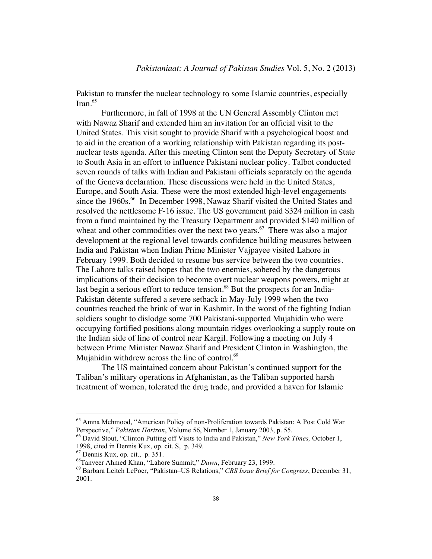Pakistan to transfer the nuclear technology to some Islamic countries, especially  $\text{Iran.}^{65}$ 

Furthermore, in fall of 1998 at the UN General Assembly Clinton met with Nawaz Sharif and extended him an invitation for an official visit to the United States. This visit sought to provide Sharif with a psychological boost and to aid in the creation of a working relationship with Pakistan regarding its postnuclear tests agenda. After this meeting Clinton sent the Deputy Secretary of State to South Asia in an effort to influence Pakistani nuclear policy. Talbot conducted seven rounds of talks with Indian and Pakistani officials separately on the agenda of the Geneva declaration. These discussions were held in the United States, Europe, and South Asia. These were the most extended high-level engagements since the 1960s.<sup>66</sup> In December 1998, Nawaz Sharif visited the United States and resolved the nettlesome F-16 issue. The US government paid \$324 million in cash from a fund maintained by the Treasury Department and provided \$140 million of wheat and other commodities over the next two years.<sup>67</sup> There was also a major development at the regional level towards confidence building measures between India and Pakistan when Indian Prime Minister Vajpayee visited Lahore in February 1999. Both decided to resume bus service between the two countries. The Lahore talks raised hopes that the two enemies, sobered by the dangerous implications of their decision to become overt nuclear weapons powers, might at last begin a serious effort to reduce tension.<sup>68</sup> But the prospects for an India-Pakistan détente suffered a severe setback in May-July 1999 when the two countries reached the brink of war in Kashmir. In the worst of the fighting Indian soldiers sought to dislodge some 700 Pakistani-supported Mujahidin who were occupying fortified positions along mountain ridges overlooking a supply route on the Indian side of line of control near Kargil. Following a meeting on July 4 between Prime Minister Nawaz Sharif and President Clinton in Washington, the Mujahidin withdrew across the line of control. $69$ 

The US maintained concern about Pakistan's continued support for the Taliban's military operations in Afghanistan, as the Taliban supported harsh treatment of women, tolerated the drug trade, and provided a haven for Islamic

<sup>65</sup> Amna Mehmood, "American Policy of non-Proliferation towards Pakistan: A Post Cold War Perspective," *Pakistan Horizon*, Volume 56, Number 1, January 2003, p. 55. <sup>66</sup> David Stout, "Clinton Putting off Visits to India and Pakistan," *New York Times,* October 1,

<sup>1998,</sup> cited in Dennis Kux, op. cit. S, p. 349.

<sup>&</sup>lt;sup>68</sup>Tanveer Ahmed Khan, "Lahore Summit," *Dawn*, February 23, 1999.<br><sup>69</sup> Barbara Leitch LePoer, "Pakistan–US Relations," *CRS Issue Brief for Congress*, December 31, 2001.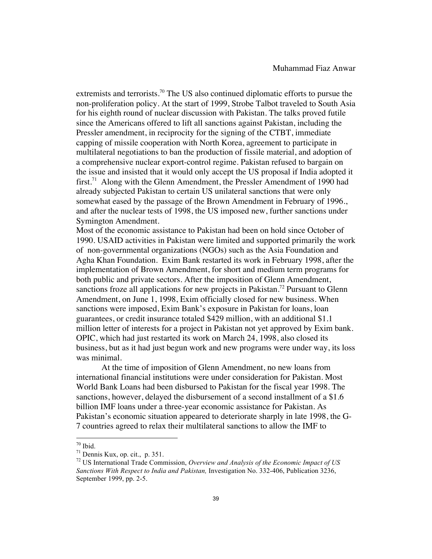extremists and terrorists.<sup>70</sup> The US also continued diplomatic efforts to pursue the non-proliferation policy. At the start of 1999, Strobe Talbot traveled to South Asia for his eighth round of nuclear discussion with Pakistan. The talks proved futile since the Americans offered to lift all sanctions against Pakistan, including the Pressler amendment, in reciprocity for the signing of the CTBT, immediate capping of missile cooperation with North Korea, agreement to participate in multilateral negotiations to ban the production of fissile material, and adoption of a comprehensive nuclear export-control regime. Pakistan refused to bargain on the issue and insisted that it would only accept the US proposal if India adopted it first.<sup>71</sup> Along with the Glenn Amendment, the Pressler Amendment of 1990 had already subjected Pakistan to certain US unilateral sanctions that were only somewhat eased by the passage of the Brown Amendment in February of 1996., and after the nuclear tests of 1998, the US imposed new, further sanctions under Symington Amendment.

Most of the economic assistance to Pakistan had been on hold since October of 1990. USAID activities in Pakistan were limited and supported primarily the work of non-governmental organizations (NGOs) such as the Asia Foundation and Agha Khan Foundation. Exim Bank restarted its work in February 1998, after the implementation of Brown Amendment, for short and medium term programs for both public and private sectors. After the imposition of Glenn Amendment, sanctions froze all applications for new projects in Pakistan.<sup>72</sup> Pursuant to Glenn Amendment, on June 1, 1998, Exim officially closed for new business. When sanctions were imposed, Exim Bank's exposure in Pakistan for loans, loan guarantees, or credit insurance totaled \$429 million, with an additional \$1.1 million letter of interests for a project in Pakistan not yet approved by Exim bank. OPIC, which had just restarted its work on March 24, 1998, also closed its business, but as it had just begun work and new programs were under way, its loss was minimal.

At the time of imposition of Glenn Amendment, no new loans from international financial institutions were under consideration for Pakistan. Most World Bank Loans had been disbursed to Pakistan for the fiscal year 1998. The sanctions, however, delayed the disbursement of a second installment of a \$1.6 billion IMF loans under a three-year economic assistance for Pakistan. As Pakistan's economic situation appeared to deteriorate sharply in late 1998, the G-7 countries agreed to relax their multilateral sanctions to allow the IMF to

 $70$  Ibid.

<sup>&</sup>lt;sup>71</sup> Dennis Kux, op. cit., p. 351.<br><sup>72</sup> US International Trade Commission, *Overview and Analysis of the Economic Impact of US Sanctions With Respect to India and Pakistan,* Investigation No. 332-406, Publication 3236, September 1999, pp. 2-5.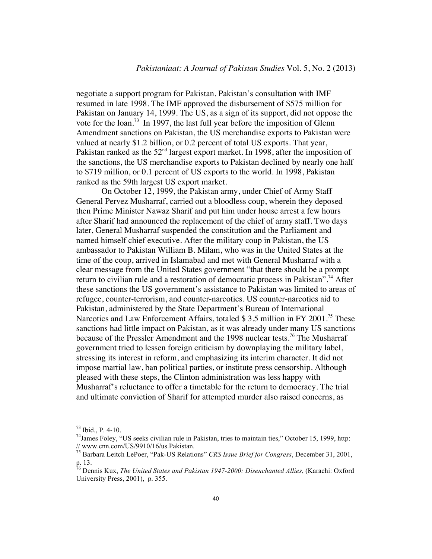negotiate a support program for Pakistan. Pakistan's consultation with IMF resumed in late 1998. The IMF approved the disbursement of \$575 million for Pakistan on January 14, 1999. The US, as a sign of its support, did not oppose the vote for the loan.<sup>73</sup> In 1997, the last full year before the imposition of Glenn Amendment sanctions on Pakistan, the US merchandise exports to Pakistan were valued at nearly \$1.2 billion, or 0.2 percent of total US exports. That year, Pakistan ranked as the  $52<sup>nd</sup>$  largest export market. In 1998, after the imposition of the sanctions, the US merchandise exports to Pakistan declined by nearly one half to \$719 million, or 0.1 percent of US exports to the world. In 1998, Pakistan ranked as the 59th largest US export market.

 On October 12, 1999, the Pakistan army, under Chief of Army Staff General Pervez Musharraf, carried out a bloodless coup, wherein they deposed then Prime Minister Nawaz Sharif and put him under house arrest a few hours after Sharif had announced the replacement of the chief of army staff. Two days later, General Musharraf suspended the constitution and the Parliament and named himself chief executive. After the military coup in Pakistan, the US ambassador to Pakistan William B. Milam, who was in the United States at the time of the coup, arrived in Islamabad and met with General Musharraf with a clear message from the United States government "that there should be a prompt return to civilian rule and a restoration of democratic process in Pakistan".<sup>74</sup> After these sanctions the US government's assistance to Pakistan was limited to areas of refugee, counter-terrorism, and counter-narcotics. US counter-narcotics aid to Pakistan, administered by the State Department's Bureau of International Narcotics and Law Enforcement Affairs, totaled \$3.5 million in FY 2001.<sup>75</sup> These sanctions had little impact on Pakistan, as it was already under many US sanctions because of the Pressler Amendment and the 1998 nuclear tests.<sup>76</sup> The Musharraf government tried to lessen foreign criticism by downplaying the military label, stressing its interest in reform, and emphasizing its interim character. It did not impose martial law, ban political parties, or institute press censorship. Although pleased with these steps, the Clinton administration was less happy with Musharraf's reluctance to offer a timetable for the return to democracy. The trial and ultimate conviction of Sharif for attempted murder also raised concerns, as

<sup>&</sup>lt;sup>73</sup> Ibid., P. 4-10.<br><sup>74</sup>James Foley, "US seeks civilian rule in Pakistan, tries to maintain ties," October 15, 1999, http: // www.cnn.com/US/9910/16/us.Pakistan.

<sup>75</sup> Barbara Leitch LePoer, "Pak-US Relations" *CRS Issue Brief for Congress*, December 31, 2001, p. 13.

<sup>76</sup> Dennis Kux, *The United States and Pakistan 1947-2000: Disenchanted Allies*, (Karachi: Oxford University Press, 2001), p. 355.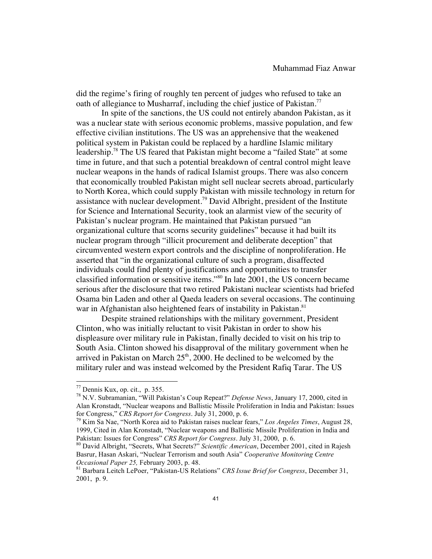did the regime's firing of roughly ten percent of judges who refused to take an oath of allegiance to Musharraf, including the chief justice of Pakistan.<sup>77</sup>

In spite of the sanctions, the US could not entirely abandon Pakistan, as it was a nuclear state with serious economic problems, massive population, and few effective civilian institutions. The US was an apprehensive that the weakened political system in Pakistan could be replaced by a hardline Islamic military leadership.78 The US feared that Pakistan might become a "failed State" at some time in future, and that such a potential breakdown of central control might leave nuclear weapons in the hands of radical Islamist groups. There was also concern that economically troubled Pakistan might sell nuclear secrets abroad, particularly to North Korea, which could supply Pakistan with missile technology in return for assistance with nuclear development.<sup>79</sup> David Albright, president of the Institute for Science and International Security, took an alarmist view of the security of Pakistan's nuclear program. He maintained that Pakistan pursued "an organizational culture that scorns security guidelines" because it had built its nuclear program through "illicit procurement and deliberate deception" that circumvented western export controls and the discipline of nonproliferation. He asserted that "in the organizational culture of such a program, disaffected individuals could find plenty of justifications and opportunities to transfer classified information or sensitive items."80 In late 2001, the US concern became serious after the disclosure that two retired Pakistani nuclear scientists had briefed Osama bin Laden and other al Qaeda leaders on several occasions. The continuing war in Afghanistan also heightened fears of instability in Pakistan.<sup>81</sup>

Despite strained relationships with the military government, President Clinton, who was initially reluctant to visit Pakistan in order to show his displeasure over military rule in Pakistan, finally decided to visit on his trip to South Asia. Clinton showed his disapproval of the military government when he arrived in Pakistan on March  $25<sup>th</sup>$ , 2000. He declined to be welcomed by the military ruler and was instead welcomed by the President Rafiq Tarar. The US

 $^{77}$  Dennis Kux, op. cit., p. 355.

<sup>&</sup>lt;sup>78</sup> N.V. Subramanian, "Will Pakistan's Coup Repeat?" *Defense News*, January 17, 2000, cited in Alan Kronstadt, "Nuclear weapons and Ballistic Missile Proliferation in India and Pakistan: Issues for Congress," *CRS Report for Congress*. July 31, 2000, p. 6.<br><sup>79</sup> Kim Sa Nae, "North Korea aid to Pakistan raises nuclear fears," *Los Angeles Times*, August 28,

<sup>1999,</sup> Cited in Alan Kronstadt, "Nuclear weapons and Ballistic Missile Proliferation in India and Pakistan: Issues for Congress" *CRS Report for Congress*. July 31, 2000, p. 6.<br><sup>80</sup> David Albright, "Secrets, What Secrets?" *Scientific American*, December 2001, cited in Rajesh

Basrur, Hasan Askari, "Nuclear Terrorism and south Asia" *Cooperative Monitoring Centre* 

<sup>&</sup>lt;sup>81</sup> Barbara Leitch LePoer, "Pakistan-US Relations" *CRS Issue Brief for Congress*, December 31, 2001, p. 9.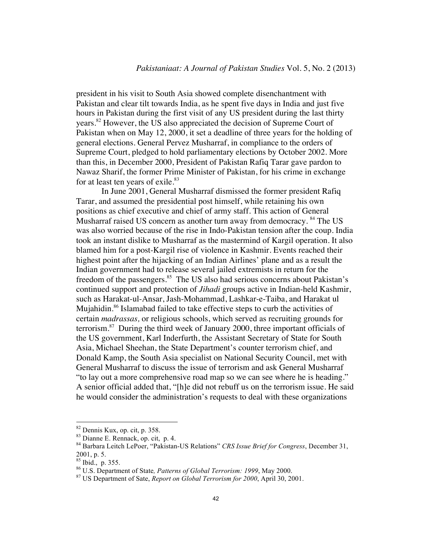president in his visit to South Asia showed complete disenchantment with Pakistan and clear tilt towards India, as he spent five days in India and just five hours in Pakistan during the first visit of any US president during the last thirty years.<sup>82</sup> However, the US also appreciated the decision of Supreme Court of Pakistan when on May 12, 2000, it set a deadline of three years for the holding of general elections. General Pervez Musharraf, in compliance to the orders of Supreme Court, pledged to hold parliamentary elections by October 2002. More than this, in December 2000, President of Pakistan Rafiq Tarar gave pardon to Nawaz Sharif, the former Prime Minister of Pakistan, for his crime in exchange for at least ten years of exile.<sup>83</sup>

In June 2001, General Musharraf dismissed the former president Rafiq Tarar, and assumed the presidential post himself, while retaining his own positions as chief executive and chief of army staff. This action of General Musharraf raised US concern as another turn away from democracy. <sup>84</sup> The US was also worried because of the rise in Indo-Pakistan tension after the coup. India took an instant dislike to Musharraf as the mastermind of Kargil operation. It also blamed him for a post-Kargil rise of violence in Kashmir. Events reached their highest point after the hijacking of an Indian Airlines' plane and as a result the Indian government had to release several jailed extremists in return for the freedom of the passengers.<sup>85</sup> The US also had serious concerns about Pakistan's continued support and protection of *Jihadi* groups active in Indian-held Kashmir, such as Harakat-ul-Ansar, Jash-Mohammad, Lashkar-e-Taiba, and Harakat ul Mujahidin.<sup>86</sup> Islamabad failed to take effective steps to curb the activities of certain *madrassas,* or religious schools, which served as recruiting grounds for terrorism.87 During the third week of January 2000, three important officials of the US government, Karl Inderfurth, the Assistant Secretary of State for South Asia, Michael Sheehan, the State Department's counter terrorism chief, and Donald Kamp, the South Asia specialist on National Security Council, met with General Musharraf to discuss the issue of terrorism and ask General Musharraf "to lay out a more comprehensive road map so we can see where he is heading." A senior official added that, "[h]e did not rebuff us on the terrorism issue. He said he would consider the administration's requests to deal with these organizations

<sup>82</sup> Dennis Kux, op. cit, p. 358.<br>83 Dianne E. Rennack, op. cit, p. 4.<br>84 Barbara Leitch LePoer, "Pakistan-US Relations" *CRS Issue Brief for Congress*, December 31, 2001, p. 5.<br><sup>85</sup> Ibid., p. 355.

<sup>&</sup>lt;sup>86</sup> U.S. Department of State, *Patterns of Global Terrorism: 1999*, May 2000.<br><sup>87</sup> US Department of Sate, *Report on Global Terrorism for 2000*, April 30, 2001.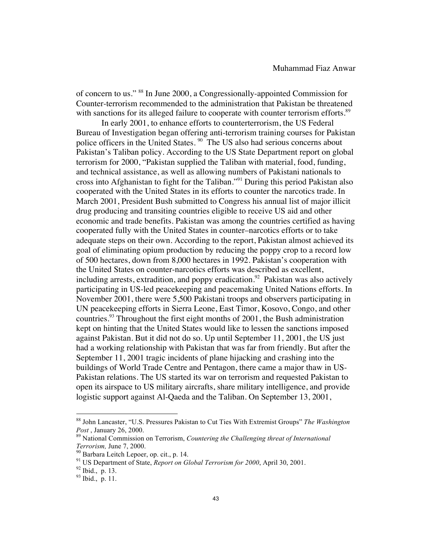of concern to us." 88 In June 2000, a Congressionally-appointed Commission for Counter-terrorism recommended to the administration that Pakistan be threatened with sanctions for its alleged failure to cooperate with counter terrorism efforts.<sup>89</sup>

In early 2001, to enhance efforts to counterterrorism, the US Federal Bureau of Investigation began offering anti-terrorism training courses for Pakistan police officers in the United States. 90 The US also had serious concerns about Pakistan's Taliban policy. According to the US State Department report on global terrorism for 2000, "Pakistan supplied the Taliban with material, food, funding, and technical assistance, as well as allowing numbers of Pakistani nationals to cross into Afghanistan to fight for the Taliban."91 During this period Pakistan also cooperated with the United States in its efforts to counter the narcotics trade. In March 2001, President Bush submitted to Congress his annual list of major illicit drug producing and transiting countries eligible to receive US aid and other economic and trade benefits. Pakistan was among the countries certified as having cooperated fully with the United States in counter–narcotics efforts or to take adequate steps on their own. According to the report, Pakistan almost achieved its goal of eliminating opium production by reducing the poppy crop to a record low of 500 hectares, down from 8,000 hectares in 1992. Pakistan's cooperation with the United States on counter-narcotics efforts was described as excellent, including arrests, extradition, and poppy eradication.<sup>92</sup> Pakistan was also actively participating in US-led peacekeeping and peacemaking United Nations efforts. In November 2001, there were 5,500 Pakistani troops and observers participating in UN peacekeeping efforts in Sierra Leone, East Timor, Kosovo, Congo, and other countries.<sup>93</sup> Throughout the first eight months of  $2001$ , the Bush administration kept on hinting that the United States would like to lessen the sanctions imposed against Pakistan. But it did not do so. Up until September 11, 2001, the US just had a working relationship with Pakistan that was far from friendly. But after the September 11, 2001 tragic incidents of plane hijacking and crashing into the buildings of World Trade Centre and Pentagon, there came a major thaw in US-Pakistan relations. The US started its war on terrorism and requested Pakistan to open its airspace to US military aircrafts, share military intelligence, and provide logistic support against Al-Qaeda and the Taliban. On September 13, 2001,

<sup>88</sup> John Lancaster, "U.S. Pressures Pakistan to Cut Ties With Extremist Groups" *The Washington Post*, January 26, 2000.<br><sup>89</sup> National Commission on Terrorism, *Countering the Challenging threat of International* 

*Terrorism, June 7, 2000.*<br><sup>90</sup> Barbara Leitch Lepoer, op. cit., p. 14.<br><sup>91</sup> US Department of State, *Report on Global Terrorism for 2000*, April 30, 2001.<br><sup>92</sup> Ibid., p. 13.<br><sup>93</sup> Ibid., p. 11.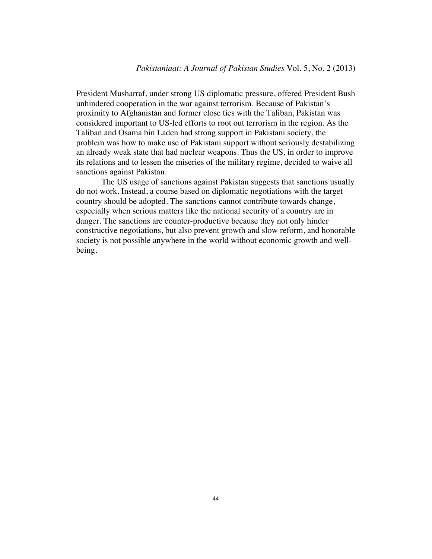President Musharraf, under strong US diplomatic pressure, offered President Bush unhindered cooperation in the war against terrorism. Because of Pakistan's proximity to Afghanistan and former close ties with the Taliban, Pakistan was considered important to US-led efforts to root out terrorism in the region. As the Taliban and Osama bin Laden had strong support in Pakistani society, the problem was how to make use of Pakistani support without seriously destabilizing an already weak state that had nuclear weapons. Thus the US, in order to improve its relations and to lessen the miseries of the military regime, decided to waive all sanctions against Pakistan.

The US usage of sanctions against Pakistan suggests that sanctions usually do not work. Instead, a course based on diplomatic negotiations with the target country should be adopted. The sanctions cannot contribute towards change, especially when serious matters like the national security of a country are in danger. The sanctions are counter-productive because they not only hinder constructive negotiations, but also prevent growth and slow reform, and honorable society is not possible anywhere in the world without economic growth and wellbeing.